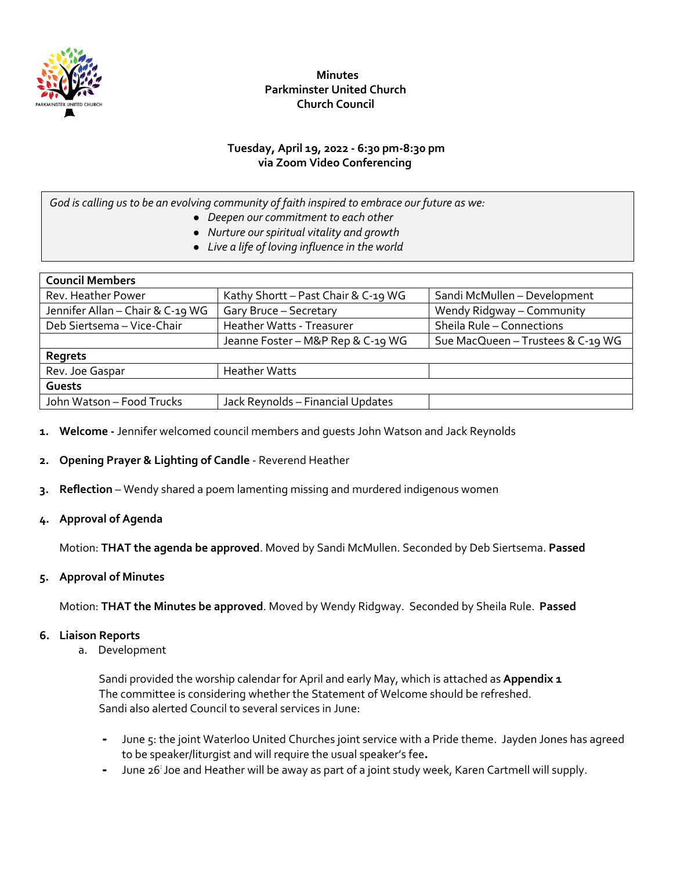

## **Tuesday, April 19, 2022 - 6:30 pm-8:30 pm via Zoom Video Conferencing**

*God is calling us to be an evolving community of faith inspired to embrace our future as we:*

- *Deepen our commitment to each other*
- *Nurture our spiritual vitality and growth*
- *Live a life of loving influence in the world*

| <b>Council Members</b>           |                                     |                                   |
|----------------------------------|-------------------------------------|-----------------------------------|
| Rev. Heather Power               | Kathy Shortt - Past Chair & C-19 WG | Sandi McMullen - Development      |
| Jennifer Allan - Chair & C-19 WG | Gary Bruce - Secretary              | Wendy Ridgway - Community         |
| Deb Siertsema - Vice-Chair       | <b>Heather Watts - Treasurer</b>    | Sheila Rule - Connections         |
|                                  | Jeanne Foster - M&P Rep & C-19 WG   | Sue MacQueen - Trustees & C-19 WG |
| <b>Regrets</b>                   |                                     |                                   |
| Rev. Joe Gaspar                  | <b>Heather Watts</b>                |                                   |
| <b>Guests</b>                    |                                     |                                   |
| John Watson - Food Trucks        | Jack Reynolds - Financial Updates   |                                   |

- **1. Welcome -** Jennifer welcomed council members and guests John Watson and Jack Reynolds
- **2. Opening Prayer & Lighting of Candle**  Reverend Heather
- **3. Reflection**  Wendy shared a poem lamenting missing and murdered indigenous women
- **4. Approval of Agenda**

Motion: **THAT the agenda be approved**. Moved by Sandi McMullen. Seconded by Deb Siertsema. **Passed**

**5. Approval of Minutes** 

Motion: **THAT the Minutes be approved**. Moved by Wendy Ridgway. Seconded by Sheila Rule. **Passed**

#### **6. Liaison Reports**

a. Development

Sandi provided the worship calendar for April and early May, which is attached as **Appendix 1** The committee is considering whether the Statement of Welcome should be refreshed. Sandi also alerted Council to several services in June:

- **-** June 5: the joint Waterloo United Churches joint service with a Pride theme. Jayden Jones has agreed to be speaker/liturgist and will require the usual speaker's fee**.**
- **-** June 26: Joe and Heather will be away as part of a joint study week, Karen Cartmell will supply.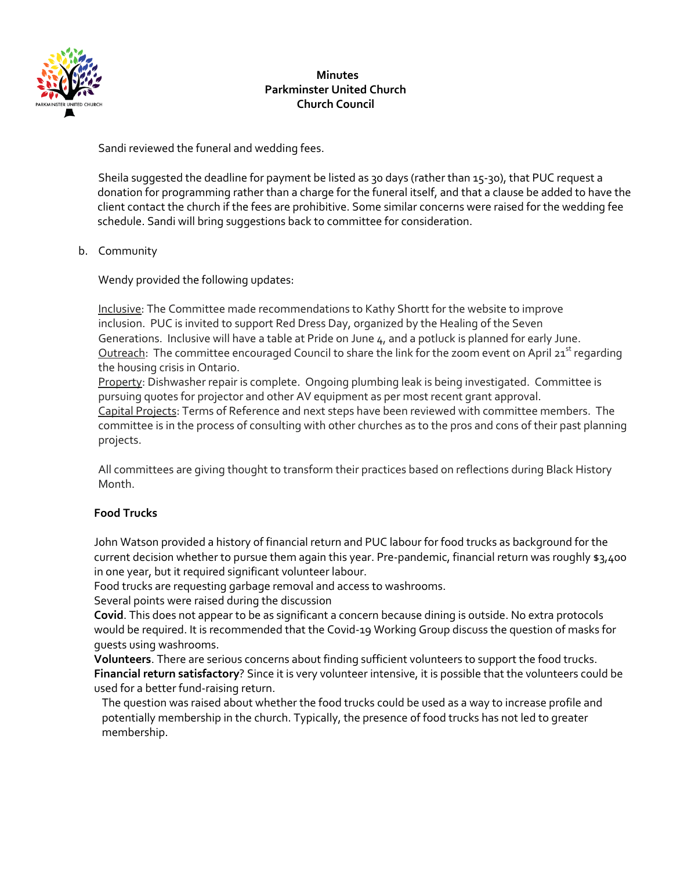

Sandi reviewed the funeral and wedding fees.

Sheila suggested the deadline for payment be listed as 30 days (rather than 15-30), that PUC request a donation for programming rather than a charge for the funeral itself, and that a clause be added to have the client contact the church if the fees are prohibitive. Some similar concerns were raised for the wedding fee schedule. Sandi will bring suggestions back to committee for consideration.

## b. Community

Wendy provided the following updates:

Inclusive: The Committee made recommendations to Kathy Shortt for the website to improve inclusion. PUC is invited to support Red Dress Day, organized by the Healing of the Seven Generations. Inclusive will have a table at Pride on June 4, and a potluck is planned for early June. Outreach: The committee encouraged Council to share the link for the zoom event on April 21<sup>st</sup> regarding the housing crisis in Ontario.

Property: Dishwasher repair is complete. Ongoing plumbing leak is being investigated. Committee is pursuing quotes for projector and other AV equipment as per most recent grant approval. Capital Projects: Terms of Reference and next steps have been reviewed with committee members. The committee is in the process of consulting with other churches as to the pros and cons of their past planning projects.

All committees are giving thought to transform their practices based on reflections during Black History Month.

## **Food Trucks**

John Watson provided a history of financial return and PUC labour for food trucks as background for the current decision whether to pursue them again this year. Pre-pandemic, financial return was roughly \$3,400 in one year, but it required significant volunteer labour.

Food trucks are requesting garbage removal and access to washrooms.

Several points were raised during the discussion

**Covid**. This does not appear to be as significant a concern because dining is outside. No extra protocols would be required. It is recommended that the Covid-19 Working Group discuss the question of masks for guests using washrooms.

**Volunteers**. There are serious concerns about finding sufficient volunteers to support the food trucks. **Financial return satisfactory**? Since it is very volunteer intensive, it is possible that the volunteers could be used for a better fund-raising return.

The question was raised about whether the food trucks could be used as a way to increase profile and potentially membership in the church. Typically, the presence of food trucks has not led to greater membership.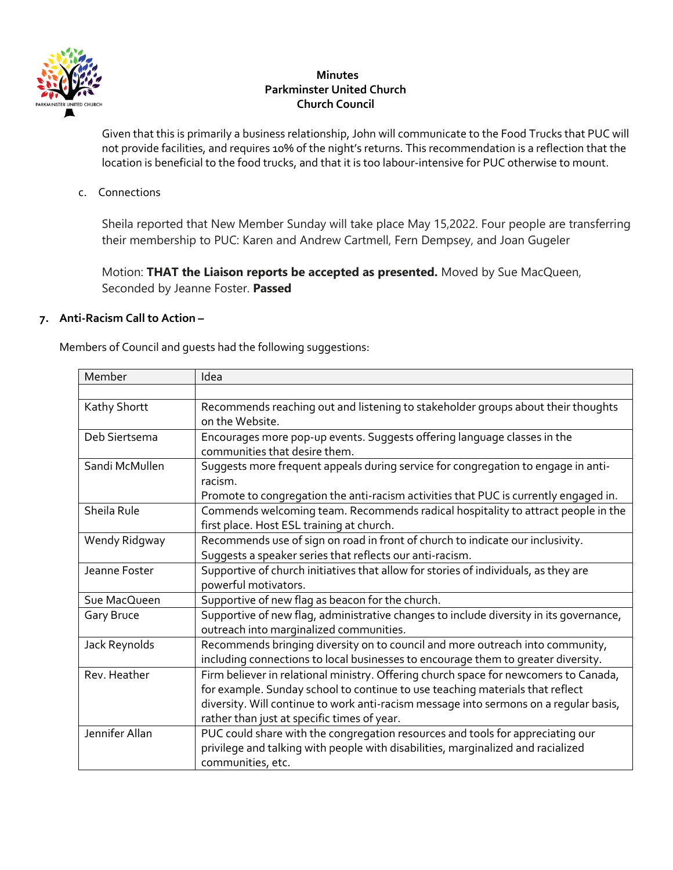

Given that this is primarily a business relationship, John will communicate to the Food Trucks that PUC will not provide facilities, and requires 10% of the night's returns. This recommendation is a reflection that the location is beneficial to the food trucks, and that it is too labour-intensive for PUC otherwise to mount.

c. Connections

Sheila reported that New Member Sunday will take place May 15,2022. Four people are transferring their membership to PUC: Karen and Andrew Cartmell, Fern Dempsey, and Joan Gugeler

Motion: **THAT the Liaison reports be accepted as presented.** Moved by Sue MacQueen, Seconded by Jeanne Foster. **Passed**

### **7. Anti-Racism Call to Action –**

Members of Council and guests had the following suggestions:

| Member         | Idea                                                                                   |
|----------------|----------------------------------------------------------------------------------------|
|                |                                                                                        |
| Kathy Shortt   | Recommends reaching out and listening to stakeholder groups about their thoughts       |
|                | on the Website.                                                                        |
| Deb Siertsema  | Encourages more pop-up events. Suggests offering language classes in the               |
|                | communities that desire them.                                                          |
| Sandi McMullen | Suggests more frequent appeals during service for congregation to engage in anti-      |
|                | racism.                                                                                |
|                | Promote to congregation the anti-racism activities that PUC is currently engaged in.   |
| Sheila Rule    | Commends welcoming team. Recommends radical hospitality to attract people in the       |
|                | first place. Host ESL training at church.                                              |
| Wendy Ridgway  | Recommends use of sign on road in front of church to indicate our inclusivity.         |
|                | Suggests a speaker series that reflects our anti-racism.                               |
| Jeanne Foster  | Supportive of church initiatives that allow for stories of individuals, as they are    |
|                | powerful motivators.                                                                   |
| Sue MacQueen   | Supportive of new flag as beacon for the church.                                       |
| Gary Bruce     | Supportive of new flag, administrative changes to include diversity in its governance, |
|                | outreach into marginalized communities.                                                |
| Jack Reynolds  | Recommends bringing diversity on to council and more outreach into community,          |
|                | including connections to local businesses to encourage them to greater diversity.      |
| Rev. Heather   | Firm believer in relational ministry. Offering church space for newcomers to Canada,   |
|                | for example. Sunday school to continue to use teaching materials that reflect          |
|                | diversity. Will continue to work anti-racism message into sermons on a regular basis,  |
|                | rather than just at specific times of year.                                            |
| Jennifer Allan | PUC could share with the congregation resources and tools for appreciating our         |
|                | privilege and talking with people with disabilities, marginalized and racialized       |
|                | communities, etc.                                                                      |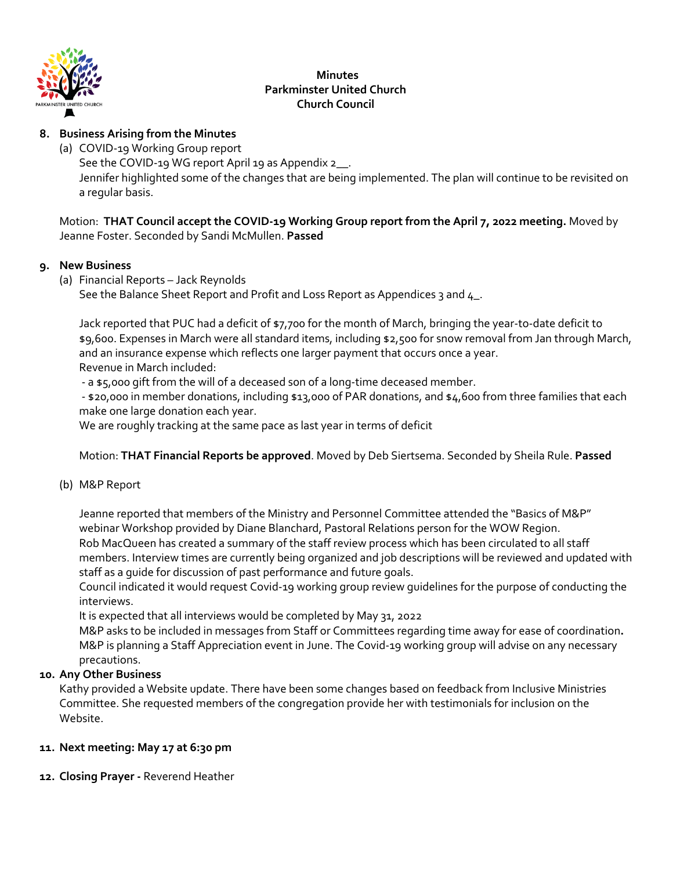

## **8. Business Arising from the Minutes**

(a) COVID-19 Working Group report See the COVID-19 WG report April 19 as Appendix 2\_\_. Jennifer highlighted some of the changes that are being implemented. The plan will continue to be revisited on a regular basis.

Motion: **THAT Council accept the COVID-19 Working Group report from the April 7, 2022 meeting.** Moved by Jeanne Foster. Seconded by Sandi McMullen. **Passed**

### **9. New Business**

(a) Financial Reports – Jack Reynolds See the Balance Sheet Report and Profit and Loss Report as Appendices 3 and 4.

Jack reported that PUC had a deficit of \$7,700 for the month of March, bringing the year-to-date deficit to \$9,600. Expenses in March were all standard items, including \$2,500 for snow removal from Jan through March, and an insurance expense which reflects one larger payment that occurs once a year. Revenue in March included:

- a \$5,000 gift from the will of a deceased son of a long-time deceased member.

- \$20,000 in member donations, including \$13,000 of PAR donations, and \$4,600 from three families that each make one large donation each year.

We are roughly tracking at the same pace as last year in terms of deficit

## Motion: **THAT Financial Reports be approved**. Moved by Deb Siertsema. Seconded by Sheila Rule. **Passed**

(b) M&P Report

Jeanne reported that members of the Ministry and Personnel Committee attended the "Basics of M&P" webinar Workshop provided by Diane Blanchard, Pastoral Relations person for the WOW Region.

Rob MacQueen has created a summary of the staff review process which has been circulated to all staff members. Interview times are currently being organized and job descriptions will be reviewed and updated with staff as a guide for discussion of past performance and future goals.

Council indicated it would request Covid-19 working group review guidelines for the purpose of conducting the interviews.

It is expected that all interviews would be completed by May 31, 2022

M&P asks to be included in messages from Staff or Committees regarding time away for ease of coordination**.**  M&P is planning a Staff Appreciation event in June. The Covid-19 working group will advise on any necessary precautions.

## **10. Any Other Business**

Kathy provided a Website update. There have been some changes based on feedback from Inclusive Ministries Committee. She requested members of the congregation provide her with testimonials for inclusion on the Website.

## **11. Next meeting: May 17 at 6:30 pm**

**12. Closing Prayer -** Reverend Heather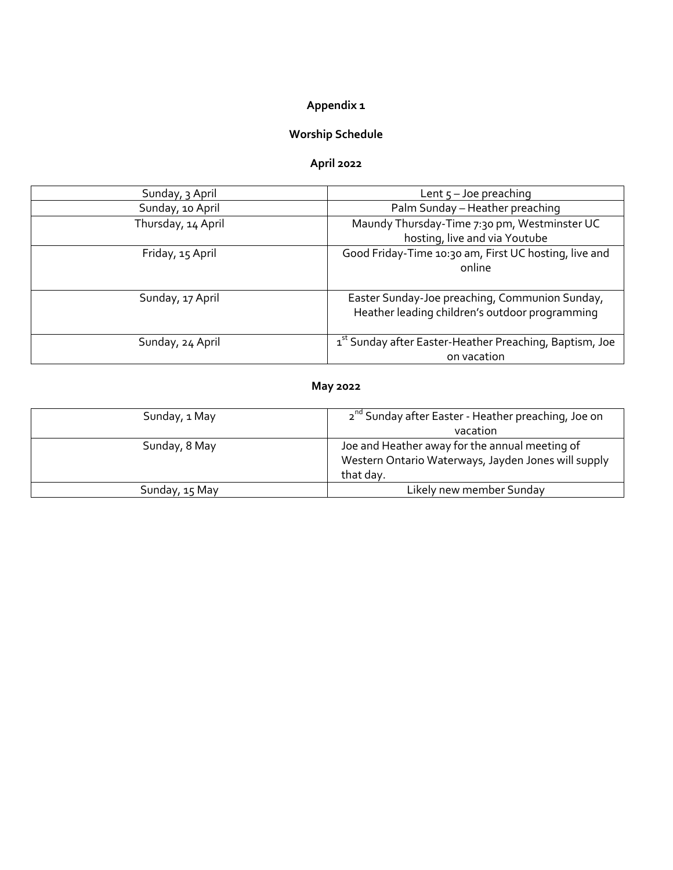# **Appendix 1**

# **Worship Schedule**

## **April 2022**

| Sunday, 3 April    | Lent $5 -$ Joe preaching                                                                         |  |
|--------------------|--------------------------------------------------------------------------------------------------|--|
| Sunday, 10 April   | Palm Sunday - Heather preaching                                                                  |  |
| Thursday, 14 April | Maundy Thursday-Time 7:30 pm, Westminster UC                                                     |  |
|                    | hosting, live and via Youtube                                                                    |  |
| Friday, 15 April   | Good Friday-Time 10:30 am, First UC hosting, live and<br>online                                  |  |
| Sunday, 17 April   | Easter Sunday-Joe preaching, Communion Sunday,<br>Heather leading children's outdoor programming |  |
| Sunday, 24 April   | 1 <sup>st</sup> Sunday after Easter-Heather Preaching, Baptism, Joe<br>on vacation               |  |

## **May 2022**

| Sunday, 1 May  | 2 <sup>nd</sup> Sunday after Easter - Heather preaching, Joe on<br>vacation                                        |  |
|----------------|--------------------------------------------------------------------------------------------------------------------|--|
| Sunday, 8 May  | Joe and Heather away for the annual meeting of<br>Western Ontario Waterways, Jayden Jones will supply<br>that day. |  |
| Sunday, 15 May | Likely new member Sunday                                                                                           |  |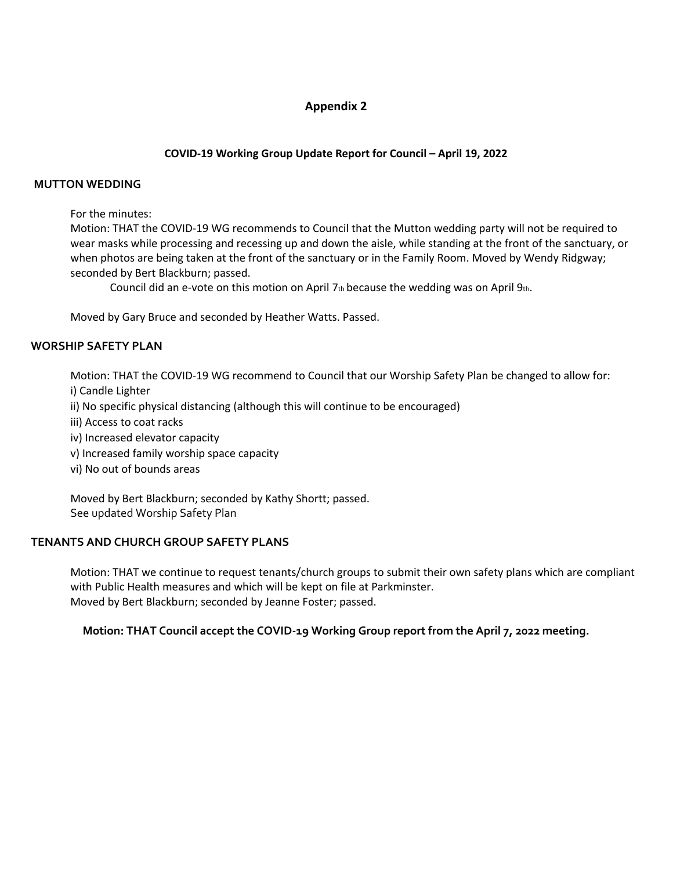## **Appendix 2**

### **COVID-19 Working Group Update Report for Council – April 19, 2022**

#### **MUTTON WEDDING**

For the minutes:

Motion: THAT the COVID-19 WG recommends to Council that the Mutton wedding party will not be required to wear masks while processing and recessing up and down the aisle, while standing at the front of the sanctuary, or when photos are being taken at the front of the sanctuary or in the Family Room. Moved by Wendy Ridgway; seconded by Bert Blackburn; passed.

Council did an e-vote on this motion on April 7th because the wedding was on April 9th.

Moved by Gary Bruce and seconded by Heather Watts. Passed.

#### **WORSHIP SAFETY PLAN**

Motion: THAT the COVID-19 WG recommend to Council that our Worship Safety Plan be changed to allow for:

i) Candle Lighter

ii) No specific physical distancing (although this will continue to be encouraged)

iii) Access to coat racks

iv) Increased elevator capacity

v) Increased family worship space capacity

vi) No out of bounds areas

Moved by Bert Blackburn; seconded by Kathy Shortt; passed. See updated Worship Safety Plan

#### **TENANTS AND CHURCH GROUP SAFETY PLANS**

Motion: THAT we continue to request tenants/church groups to submit their own safety plans which are compliant with Public Health measures and which will be kept on file at Parkminster. Moved by Bert Blackburn; seconded by Jeanne Foster; passed.

**Motion: THAT Council accept the COVID-19 Working Group report from the April 7, 2022 meeting.**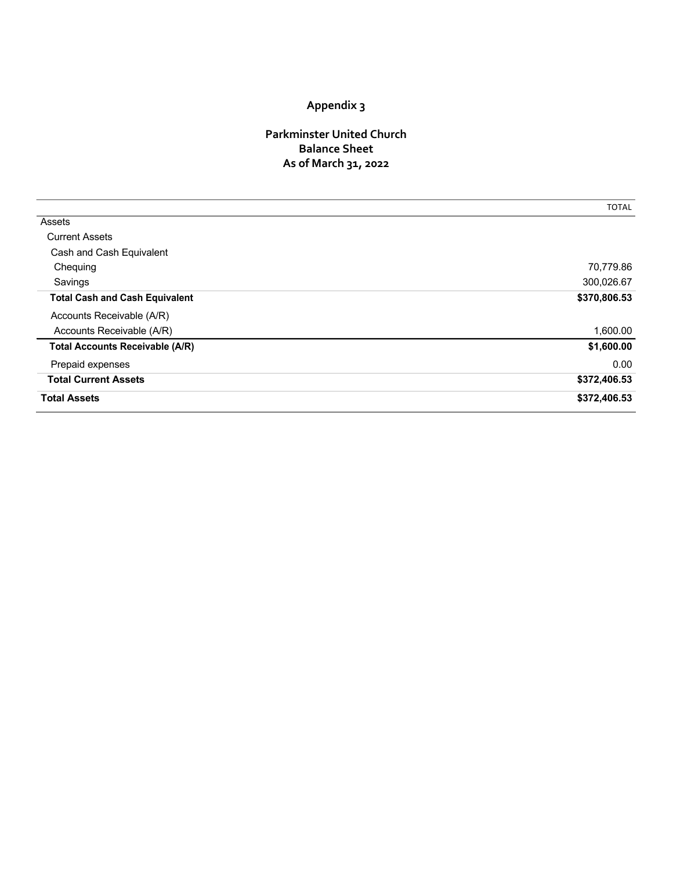# **Appendix 3**

## **Parkminster United Church Balance Sheet As of March 31, 2022**

|                                        | <b>TOTAL</b> |
|----------------------------------------|--------------|
| Assets                                 |              |
| <b>Current Assets</b>                  |              |
| Cash and Cash Equivalent               |              |
| Chequing                               | 70,779.86    |
| Savings                                | 300,026.67   |
| <b>Total Cash and Cash Equivalent</b>  | \$370,806.53 |
| Accounts Receivable (A/R)              |              |
| Accounts Receivable (A/R)              | 1,600.00     |
| <b>Total Accounts Receivable (A/R)</b> | \$1,600.00   |
| Prepaid expenses                       | 0.00         |
| <b>Total Current Assets</b>            | \$372,406.53 |
| <b>Total Assets</b>                    | \$372,406.53 |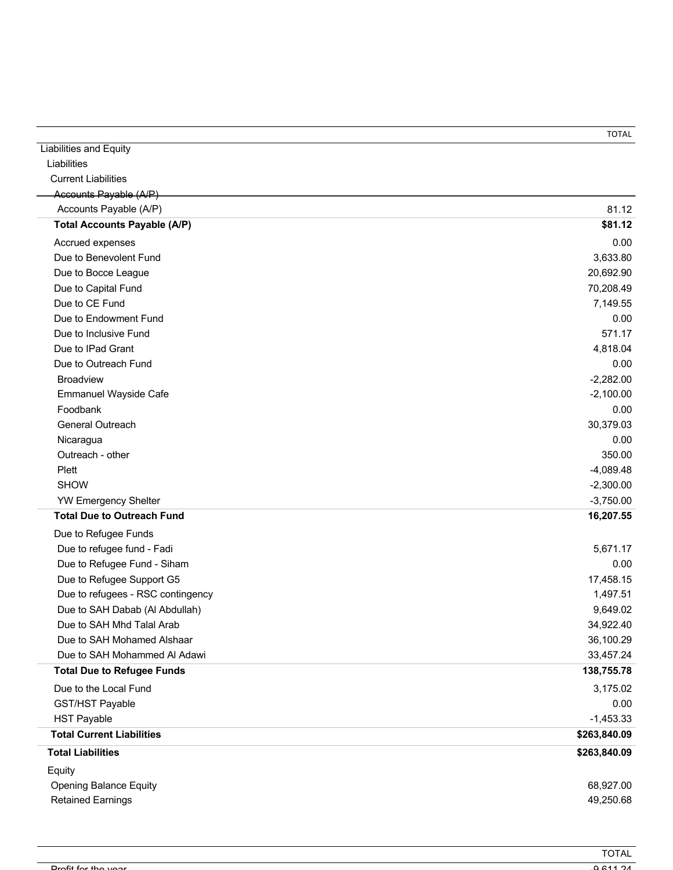|                                     | <b>TOTAL</b> |
|-------------------------------------|--------------|
| <b>Liabilities and Equity</b>       |              |
| Liabilities                         |              |
| <b>Current Liabilities</b>          |              |
| Accounts Payable (A/P)              |              |
| Accounts Payable (A/P)              | 81.12        |
| <b>Total Accounts Payable (A/P)</b> | \$81.12      |
| Accrued expenses                    | 0.00         |
| Due to Benevolent Fund              | 3,633.80     |
| Due to Bocce League                 | 20,692.90    |
| Due to Capital Fund                 | 70,208.49    |
| Due to CE Fund                      | 7,149.55     |
| Due to Endowment Fund               | 0.00         |
| Due to Inclusive Fund               | 571.17       |
| Due to IPad Grant                   | 4,818.04     |
| Due to Outreach Fund                | 0.00         |
| <b>Broadview</b>                    | $-2,282.00$  |
| Emmanuel Wayside Cafe               | $-2,100.00$  |
| Foodbank                            | 0.00         |
| General Outreach                    | 30,379.03    |
| Nicaragua                           | 0.00         |
| Outreach - other                    | 350.00       |
| Plett                               | $-4,089.48$  |
| <b>SHOW</b>                         | $-2,300.00$  |
| <b>YW Emergency Shelter</b>         | $-3,750.00$  |
| <b>Total Due to Outreach Fund</b>   | 16,207.55    |
| Due to Refugee Funds                |              |
| Due to refugee fund - Fadi          | 5,671.17     |
| Due to Refugee Fund - Siham         | 0.00         |
| Due to Refugee Support G5           | 17,458.15    |
| Due to refugees - RSC contingency   | 1,497.51     |
| Due to SAH Dabab (Al Abdullah)      | 9,649.02     |
| Due to SAH Mhd Talal Arab           | 34,922.40    |
| Due to SAH Mohamed Alshaar          | 36,100.29    |
| Due to SAH Mohammed Al Adawi        | 33,457.24    |
| <b>Total Due to Refugee Funds</b>   | 138,755.78   |
| Due to the Local Fund               | 3,175.02     |
| <b>GST/HST Payable</b>              | 0.00         |
| <b>HST Payable</b>                  | $-1,453.33$  |
| <b>Total Current Liabilities</b>    | \$263,840.09 |
| <b>Total Liabilities</b>            | \$263,840.09 |
| Equity                              |              |
| <b>Opening Balance Equity</b>       | 68,927.00    |
| <b>Retained Earnings</b>            | 49,250.68    |
|                                     |              |

|                            | <b>TOTAL</b><br>ᆘᄉ |
|----------------------------|--------------------|
| <b>Profit for the year</b> | $\sim$<br>י ג      |
|                            |                    |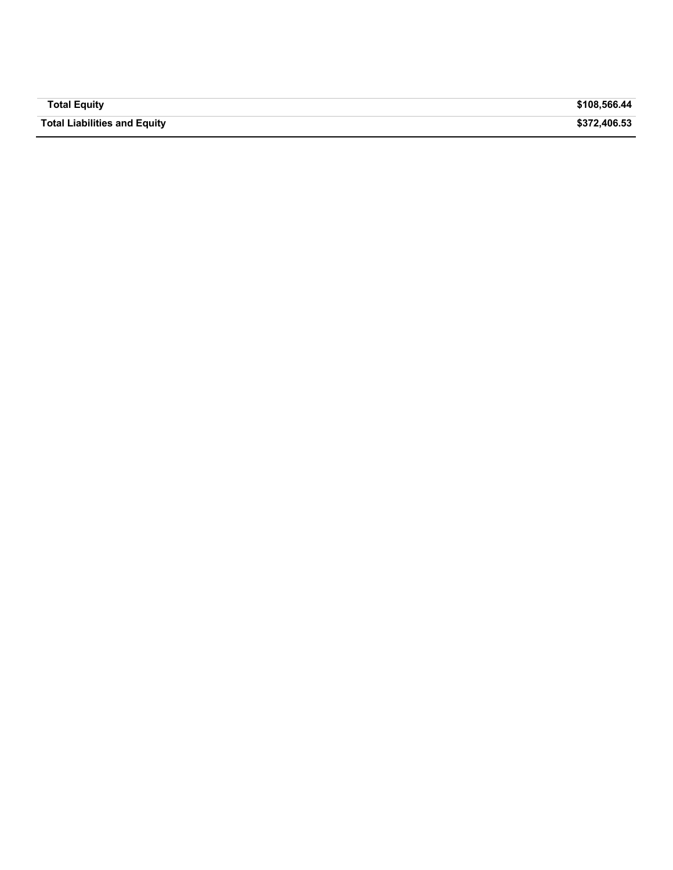| <b>Total Equity</b>                 | \$108,566,44 |
|-------------------------------------|--------------|
| <b>Total Liabilities and Equity</b> | \$372,406.53 |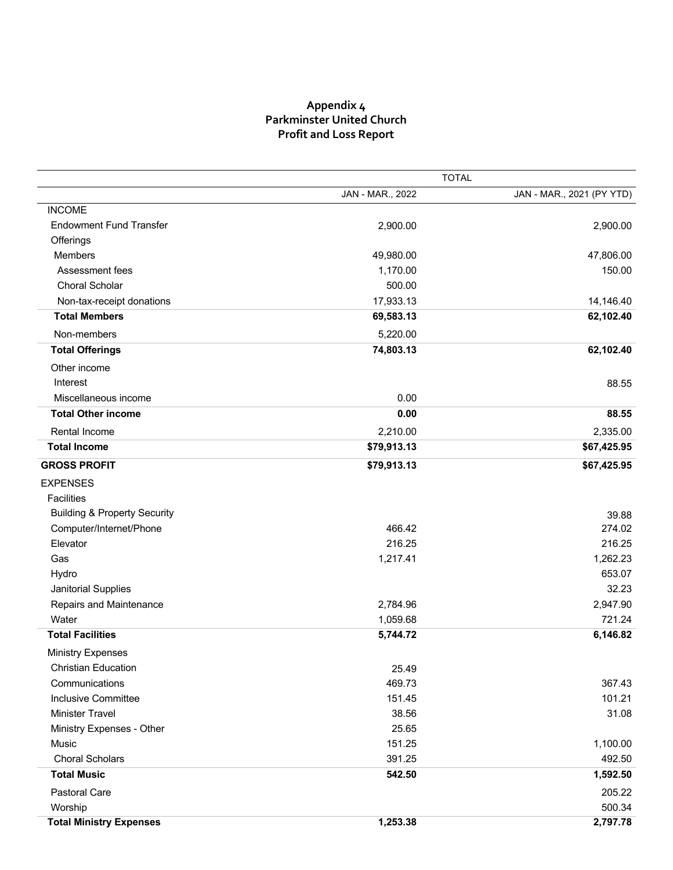## **Appendix 4 Parkminster United Church Profit and Loss Report**

|                                         | <b>TOTAL</b>     |                           |
|-----------------------------------------|------------------|---------------------------|
|                                         | JAN - MAR., 2022 | JAN - MAR., 2021 (PY YTD) |
| <b>INCOME</b>                           |                  |                           |
| <b>Endowment Fund Transfer</b>          | 2,900.00         | 2,900.00                  |
| Offerings                               |                  |                           |
| Members                                 | 49,980.00        | 47,806.00                 |
| Assessment fees                         | 1,170.00         | 150.00                    |
| Choral Scholar                          | 500.00           |                           |
| Non-tax-receipt donations               | 17,933.13        | 14,146.40                 |
| <b>Total Members</b>                    | 69,583.13        | 62,102.40                 |
| Non-members                             | 5,220.00         |                           |
| <b>Total Offerings</b>                  | 74,803.13        | 62,102.40                 |
| Other income                            |                  |                           |
| Interest                                |                  | 88.55                     |
| Miscellaneous income                    | 0.00             |                           |
| <b>Total Other income</b>               | 0.00             | 88.55                     |
| Rental Income                           | 2,210.00         | 2,335.00                  |
| <b>Total Income</b>                     | \$79,913.13      | \$67,425.95               |
| <b>GROSS PROFIT</b>                     | \$79,913.13      | \$67,425.95               |
| <b>EXPENSES</b>                         |                  |                           |
| <b>Facilities</b>                       |                  |                           |
| <b>Building &amp; Property Security</b> |                  | 39.88                     |
| Computer/Internet/Phone                 | 466.42           | 274.02                    |
| Elevator                                | 216.25           | 216.25                    |
| Gas                                     | 1,217.41         | 1,262.23                  |
| Hydro                                   |                  | 653.07                    |
| Janitorial Supplies                     |                  | 32.23                     |
| Repairs and Maintenance                 | 2,784.96         | 2,947.90                  |
| Water                                   | 1,059.68         | 721.24                    |
| <b>Total Facilities</b>                 | 5,744.72         | 6,146.82                  |
| <b>Ministry Expenses</b>                |                  |                           |
| <b>Christian Education</b>              | 25.49            |                           |
| Communications                          | 469.73           | 367.43                    |
| <b>Inclusive Committee</b>              | 151.45           | 101.21                    |
| <b>Minister Travel</b>                  | 38.56            | 31.08                     |
| Ministry Expenses - Other               | 25.65            |                           |
| Music                                   | 151.25           | 1,100.00                  |
| <b>Choral Scholars</b>                  | 391.25           | 492.50                    |
| <b>Total Music</b>                      | 542.50           | 1,592.50                  |
| Pastoral Care                           |                  | 205.22                    |
| Worship                                 |                  | 500.34                    |
| <b>Total Ministry Expenses</b>          | 1,253.38         | 2,797.78                  |